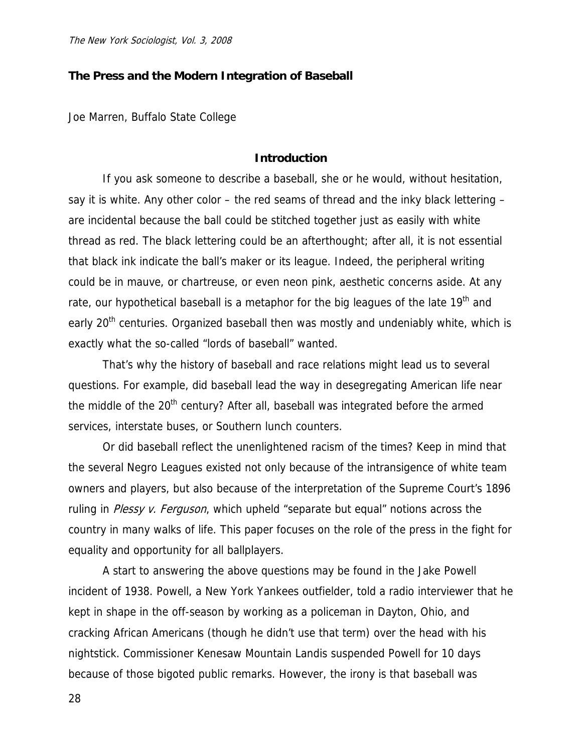## **The Press and the Modern Integration of Baseball**

Joe Marren, Buffalo State College

#### **Introduction**

If you ask someone to describe a baseball, she or he would, without hesitation, say it is white. Any other color – the red seams of thread and the inky black lettering – are incidental because the ball could be stitched together just as easily with white thread as red. The black lettering could be an afterthought; after all, it is not essential that black ink indicate the ball's maker or its league. Indeed, the peripheral writing could be in mauve, or chartreuse, or even neon pink, aesthetic concerns aside. At any rate, our hypothetical baseball is a metaphor for the big leagues of the late  $19<sup>th</sup>$  and early 20<sup>th</sup> centuries. Organized baseball then was mostly and undeniably white, which is exactly what the so-called "lords of baseball" wanted.

That's why the history of baseball and race relations might lead us to several questions. For example, did baseball lead the way in desegregating American life near the middle of the 20<sup>th</sup> century? After all, baseball was integrated before the armed services, interstate buses, or Southern lunch counters.

Or did baseball reflect the unenlightened racism of the times? Keep in mind that the several Negro Leagues existed not only because of the intransigence of white team owners and players, but also because of the interpretation of the Supreme Court's 1896 ruling in Plessy v. Ferguson, which upheld "separate but equal" notions across the country in many walks of life. This paper focuses on the role of the press in the fight for equality and opportunity for all ballplayers.

A start to answering the above questions may be found in the Jake Powell incident of 1938. Powell, a New York Yankees outfielder, told a radio interviewer that he kept in shape in the off-season by working as a policeman in Dayton, Ohio, and cracking African Americans (though he didn't use that term) over the head with his nightstick. Commissioner Kenesaw Mountain Landis suspended Powell for 10 days because of those bigoted public remarks. However, the irony is that baseball was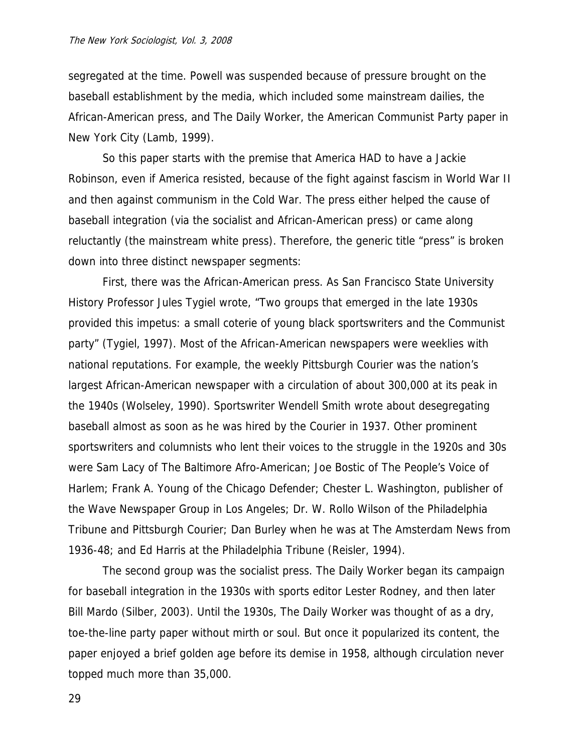segregated at the time. Powell was suspended because of pressure brought on the baseball establishment by the media, which included some mainstream dailies, the African-American press, and The Daily Worker, the American Communist Party paper in New York City (Lamb, 1999).

So this paper starts with the premise that America HAD to have a Jackie Robinson, even if America resisted, because of the fight against fascism in World War II and then against communism in the Cold War. The press either helped the cause of baseball integration (via the socialist and African-American press) or came along reluctantly (the mainstream white press). Therefore, the generic title "press" is broken down into three distinct newspaper segments:

First, there was the African-American press. As San Francisco State University History Professor Jules Tygiel wrote, "Two groups that emerged in the late 1930s provided this impetus: a small coterie of young black sportswriters and the Communist party" (Tygiel, 1997). Most of the African-American newspapers were weeklies with national reputations. For example, the weekly Pittsburgh Courier was the nation's largest African-American newspaper with a circulation of about 300,000 at its peak in the 1940s (Wolseley, 1990). Sportswriter Wendell Smith wrote about desegregating baseball almost as soon as he was hired by the Courier in 1937. Other prominent sportswriters and columnists who lent their voices to the struggle in the 1920s and 30s were Sam Lacy of The Baltimore Afro-American; Joe Bostic of The People's Voice of Harlem; Frank A. Young of the Chicago Defender; Chester L. Washington, publisher of the Wave Newspaper Group in Los Angeles; Dr. W. Rollo Wilson of the Philadelphia Tribune and Pittsburgh Courier; Dan Burley when he was at The Amsterdam News from 1936-48; and Ed Harris at the Philadelphia Tribune (Reisler, 1994).

The second group was the socialist press. The Daily Worker began its campaign for baseball integration in the 1930s with sports editor Lester Rodney, and then later Bill Mardo (Silber, 2003). Until the 1930s, The Daily Worker was thought of as a dry, toe-the-line party paper without mirth or soul. But once it popularized its content, the paper enjoyed a brief golden age before its demise in 1958, although circulation never topped much more than 35,000.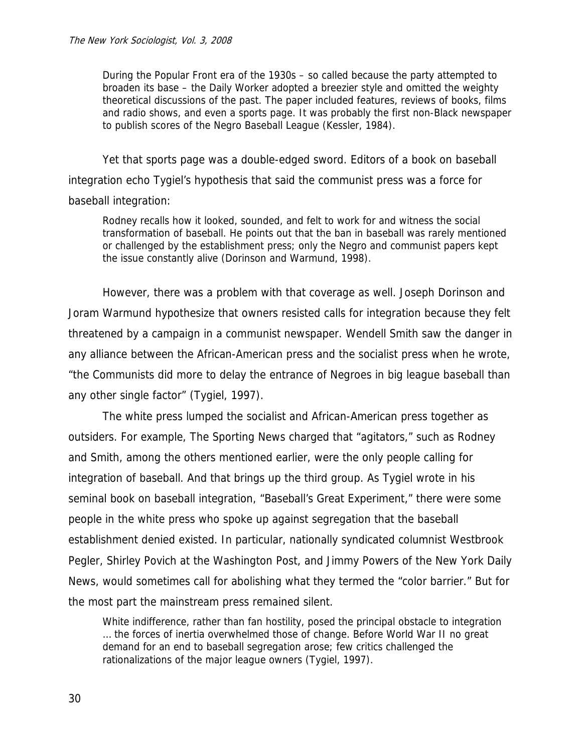During the Popular Front era of the 1930s – so called because the party attempted to broaden its base – the Daily Worker adopted a breezier style and omitted the weighty theoretical discussions of the past. The paper included features, reviews of books, films and radio shows, and even a sports page. It was probably the first non-Black newspaper to publish scores of the Negro Baseball League (Kessler, 1984).

Yet that sports page was a double-edged sword. Editors of a book on baseball integration echo Tygiel's hypothesis that said the communist press was a force for baseball integration:

Rodney recalls how it looked, sounded, and felt to work for and witness the social transformation of baseball. He points out that the ban in baseball was rarely mentioned or challenged by the establishment press; only the Negro and communist papers kept the issue constantly alive (Dorinson and Warmund, 1998).

However, there was a problem with that coverage as well. Joseph Dorinson and Joram Warmund hypothesize that owners resisted calls for integration because they felt threatened by a campaign in a communist newspaper. Wendell Smith saw the danger in any alliance between the African-American press and the socialist press when he wrote, "the Communists did more to delay the entrance of Negroes in big league baseball than any other single factor" (Tygiel, 1997).

The white press lumped the socialist and African-American press together as outsiders. For example, The Sporting News charged that "agitators," such as Rodney and Smith, among the others mentioned earlier, were the only people calling for integration of baseball. And that brings up the third group. As Tygiel wrote in his seminal book on baseball integration, "Baseball's Great Experiment," there were some people in the white press who spoke up against segregation that the baseball establishment denied existed. In particular, nationally syndicated columnist Westbrook Pegler, Shirley Povich at the Washington Post, and Jimmy Powers of the New York Daily News, would sometimes call for abolishing what they termed the "color barrier." But for the most part the mainstream press remained silent.

White indifference, rather than fan hostility, posed the principal obstacle to integration … the forces of inertia overwhelmed those of change. Before World War II no great demand for an end to baseball segregation arose; few critics challenged the rationalizations of the major league owners (Tygiel, 1997).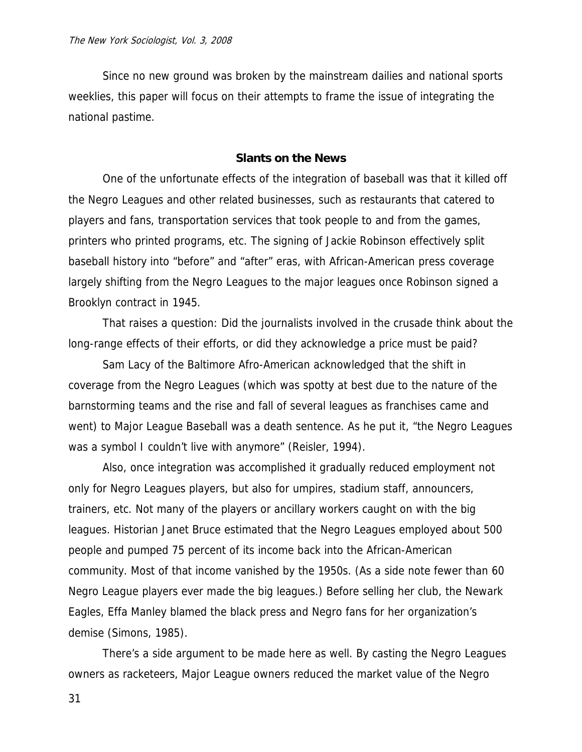Since no new ground was broken by the mainstream dailies and national sports weeklies, this paper will focus on their attempts to frame the issue of integrating the national pastime.

### **Slants on the News**

One of the unfortunate effects of the integration of baseball was that it killed off the Negro Leagues and other related businesses, such as restaurants that catered to players and fans, transportation services that took people to and from the games, printers who printed programs, etc. The signing of Jackie Robinson effectively split baseball history into "before" and "after" eras, with African-American press coverage largely shifting from the Negro Leagues to the major leagues once Robinson signed a Brooklyn contract in 1945.

That raises a question: Did the journalists involved in the crusade think about the long-range effects of their efforts, or did they acknowledge a price must be paid?

Sam Lacy of the Baltimore Afro-American acknowledged that the shift in coverage from the Negro Leagues (which was spotty at best due to the nature of the barnstorming teams and the rise and fall of several leagues as franchises came and went) to Major League Baseball was a death sentence. As he put it, "the Negro Leagues was a symbol I couldn't live with anymore" (Reisler, 1994).

Also, once integration was accomplished it gradually reduced employment not only for Negro Leagues players, but also for umpires, stadium staff, announcers, trainers, etc. Not many of the players or ancillary workers caught on with the big leagues. Historian Janet Bruce estimated that the Negro Leagues employed about 500 people and pumped 75 percent of its income back into the African-American community. Most of that income vanished by the 1950s. (As a side note fewer than 60 Negro League players ever made the big leagues.) Before selling her club, the Newark Eagles, Effa Manley blamed the black press and Negro fans for her organization's demise (Simons, 1985).

There's a side argument to be made here as well. By casting the Negro Leagues owners as racketeers, Major League owners reduced the market value of the Negro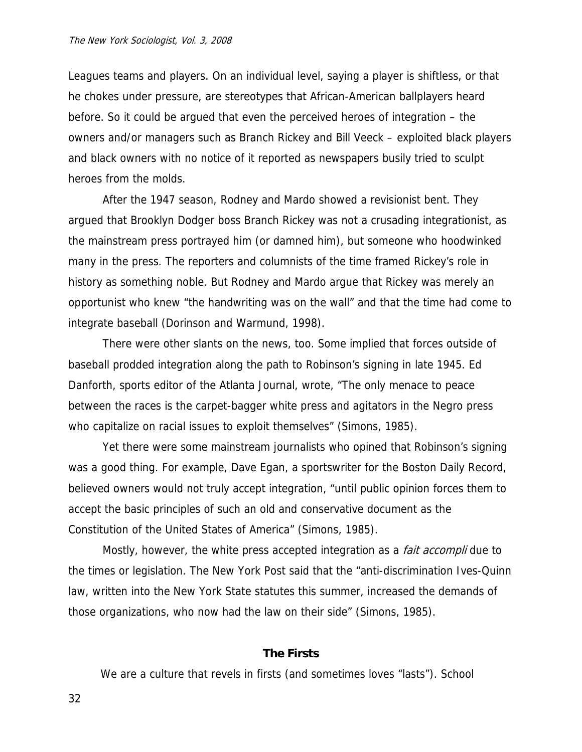Leagues teams and players. On an individual level, saying a player is shiftless, or that he chokes under pressure, are stereotypes that African-American ballplayers heard before. So it could be argued that even the perceived heroes of integration – the owners and/or managers such as Branch Rickey and Bill Veeck – exploited black players and black owners with no notice of it reported as newspapers busily tried to sculpt heroes from the molds.

After the 1947 season, Rodney and Mardo showed a revisionist bent. They argued that Brooklyn Dodger boss Branch Rickey was not a crusading integrationist, as the mainstream press portrayed him (or damned him), but someone who hoodwinked many in the press. The reporters and columnists of the time framed Rickey's role in history as something noble. But Rodney and Mardo argue that Rickey was merely an opportunist who knew "the handwriting was on the wall" and that the time had come to integrate baseball (Dorinson and Warmund, 1998).

There were other slants on the news, too. Some implied that forces outside of baseball prodded integration along the path to Robinson's signing in late 1945. Ed Danforth, sports editor of the Atlanta Journal, wrote, "The only menace to peace between the races is the carpet-bagger white press and agitators in the Negro press who capitalize on racial issues to exploit themselves" (Simons, 1985).

Yet there were some mainstream journalists who opined that Robinson's signing was a good thing. For example, Dave Egan, a sportswriter for the Boston Daily Record, believed owners would not truly accept integration, "until public opinion forces them to accept the basic principles of such an old and conservative document as the Constitution of the United States of America" (Simons, 1985).

Mostly, however, the white press accepted integration as a *fait accompli* due to the times or legislation. The New York Post said that the "anti-discrimination Ives-Quinn law, written into the New York State statutes this summer, increased the demands of those organizations, who now had the law on their side" (Simons, 1985).

### **The Firsts**

We are a culture that revels in firsts (and sometimes loves "lasts"). School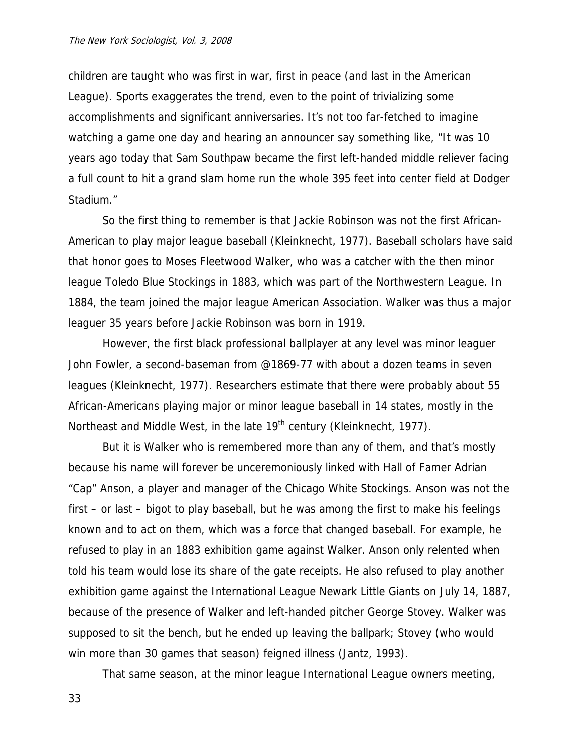children are taught who was first in war, first in peace (and last in the American League). Sports exaggerates the trend, even to the point of trivializing some accomplishments and significant anniversaries. It's not too far-fetched to imagine watching a game one day and hearing an announcer say something like, "It was 10 years ago today that Sam Southpaw became the first left-handed middle reliever facing a full count to hit a grand slam home run the whole 395 feet into center field at Dodger Stadium."

So the first thing to remember is that Jackie Robinson was not the first African-American to play major league baseball (Kleinknecht, 1977). Baseball scholars have said that honor goes to Moses Fleetwood Walker, who was a catcher with the then minor league Toledo Blue Stockings in 1883, which was part of the Northwestern League. In 1884, the team joined the major league American Association. Walker was thus a major leaguer 35 years before Jackie Robinson was born in 1919.

However, the first black professional ballplayer at any level was minor leaguer John Fowler, a second-baseman from @1869-77 with about a dozen teams in seven leagues (Kleinknecht, 1977). Researchers estimate that there were probably about 55 African-Americans playing major or minor league baseball in 14 states, mostly in the Northeast and Middle West, in the late 19<sup>th</sup> century (Kleinknecht, 1977).

But it is Walker who is remembered more than any of them, and that's mostly because his name will forever be unceremoniously linked with Hall of Famer Adrian "Cap" Anson, a player and manager of the Chicago White Stockings. Anson was not the first – or last – bigot to play baseball, but he was among the first to make his feelings known and to act on them, which was a force that changed baseball. For example, he refused to play in an 1883 exhibition game against Walker. Anson only relented when told his team would lose its share of the gate receipts. He also refused to play another exhibition game against the International League Newark Little Giants on July 14, 1887, because of the presence of Walker and left-handed pitcher George Stovey. Walker was supposed to sit the bench, but he ended up leaving the ballpark; Stovey (who would win more than 30 games that season) feigned illness (Jantz, 1993).

That same season, at the minor league International League owners meeting,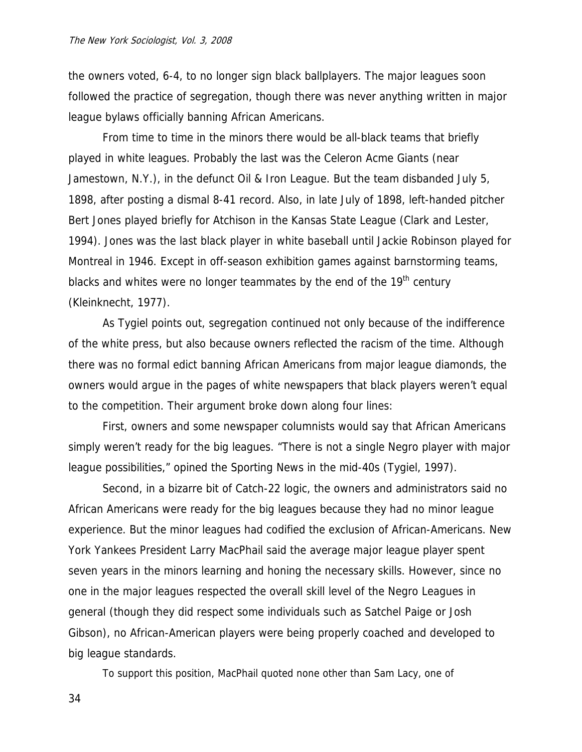the owners voted, 6-4, to no longer sign black ballplayers. The major leagues soon followed the practice of segregation, though there was never anything written in major league bylaws officially banning African Americans.

From time to time in the minors there would be all-black teams that briefly played in white leagues. Probably the last was the Celeron Acme Giants (near Jamestown, N.Y.), in the defunct Oil & Iron League. But the team disbanded July 5, 1898, after posting a dismal 8-41 record. Also, in late July of 1898, left-handed pitcher Bert Jones played briefly for Atchison in the Kansas State League (Clark and Lester, 1994). Jones was the last black player in white baseball until Jackie Robinson played for Montreal in 1946. Except in off-season exhibition games against barnstorming teams, blacks and whites were no longer teammates by the end of the 19<sup>th</sup> century (Kleinknecht, 1977).

As Tygiel points out, segregation continued not only because of the indifference of the white press, but also because owners reflected the racism of the time. Although there was no formal edict banning African Americans from major league diamonds, the owners would argue in the pages of white newspapers that black players weren't equal to the competition. Their argument broke down along four lines:

First, owners and some newspaper columnists would say that African Americans simply weren't ready for the big leagues. "There is not a single Negro player with major league possibilities," opined the Sporting News in the mid-40s (Tygiel, 1997).

Second, in a bizarre bit of Catch-22 logic, the owners and administrators said no African Americans were ready for the big leagues because they had no minor league experience. But the minor leagues had codified the exclusion of African-Americans. New York Yankees President Larry MacPhail said the average major league player spent seven years in the minors learning and honing the necessary skills. However, since no one in the major leagues respected the overall skill level of the Negro Leagues in general (though they did respect some individuals such as Satchel Paige or Josh Gibson), no African-American players were being properly coached and developed to big league standards.

To support this position, MacPhail quoted none other than Sam Lacy, one of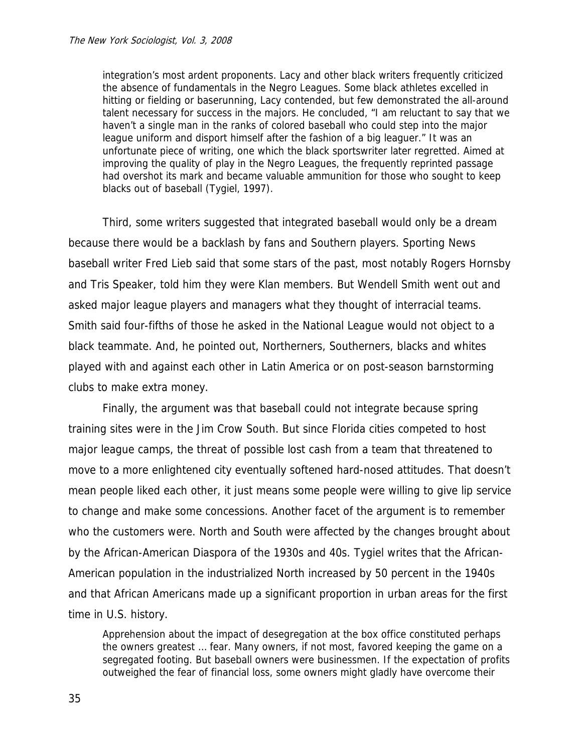integration's most ardent proponents. Lacy and other black writers frequently criticized the absence of fundamentals in the Negro Leagues. Some black athletes excelled in hitting or fielding or baserunning, Lacy contended, but few demonstrated the all-around talent necessary for success in the majors. He concluded, "I am reluctant to say that we haven't a single man in the ranks of colored baseball who could step into the major league uniform and disport himself after the fashion of a big leaguer." It was an unfortunate piece of writing, one which the black sportswriter later regretted. Aimed at improving the quality of play in the Negro Leagues, the frequently reprinted passage had overshot its mark and became valuable ammunition for those who sought to keep blacks out of baseball (Tygiel, 1997).

Third, some writers suggested that integrated baseball would only be a dream because there would be a backlash by fans and Southern players. Sporting News baseball writer Fred Lieb said that some stars of the past, most notably Rogers Hornsby and Tris Speaker, told him they were Klan members. But Wendell Smith went out and asked major league players and managers what they thought of interracial teams. Smith said four-fifths of those he asked in the National League would not object to a black teammate. And, he pointed out, Northerners, Southerners, blacks and whites played with and against each other in Latin America or on post-season barnstorming clubs to make extra money.

Finally, the argument was that baseball could not integrate because spring training sites were in the Jim Crow South. But since Florida cities competed to host major league camps, the threat of possible lost cash from a team that threatened to move to a more enlightened city eventually softened hard-nosed attitudes. That doesn't mean people liked each other, it just means some people were willing to give lip service to change and make some concessions. Another facet of the argument is to remember who the customers were. North and South were affected by the changes brought about by the African-American Diaspora of the 1930s and 40s. Tygiel writes that the African-American population in the industrialized North increased by 50 percent in the 1940s and that African Americans made up a significant proportion in urban areas for the first time in U.S. history.

Apprehension about the impact of desegregation at the box office constituted perhaps the owners greatest … fear. Many owners, if not most, favored keeping the game on a segregated footing. But baseball owners were businessmen. If the expectation of profits outweighed the fear of financial loss, some owners might gladly have overcome their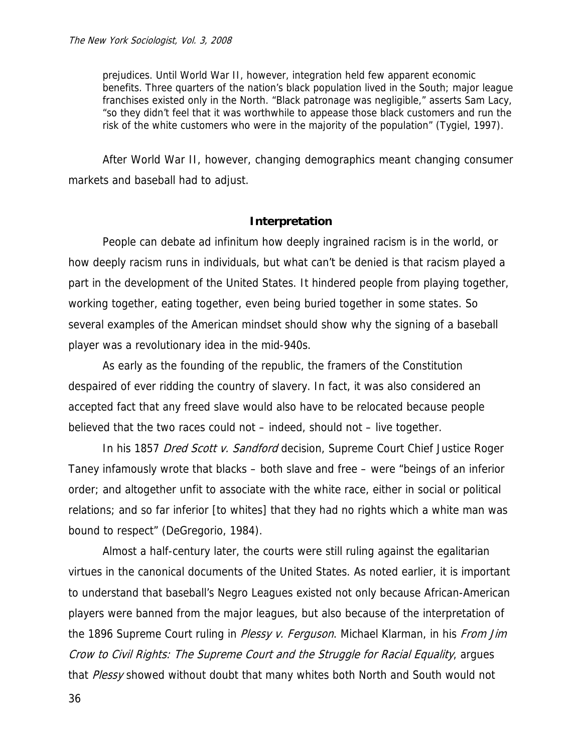prejudices. Until World War II, however, integration held few apparent economic benefits. Three quarters of the nation's black population lived in the South; major league franchises existed only in the North. "Black patronage was negligible," asserts Sam Lacy, "so they didn't feel that it was worthwhile to appease those black customers and run the risk of the white customers who were in the majority of the population" (Tygiel, 1997).

After World War II, however, changing demographics meant changing consumer markets and baseball had to adjust.

#### **Interpretation**

People can debate ad infinitum how deeply ingrained racism is in the world, or how deeply racism runs in individuals, but what can't be denied is that racism played a part in the development of the United States. It hindered people from playing together, working together, eating together, even being buried together in some states. So several examples of the American mindset should show why the signing of a baseball player was a revolutionary idea in the mid-940s.

As early as the founding of the republic, the framers of the Constitution despaired of ever ridding the country of slavery. In fact, it was also considered an accepted fact that any freed slave would also have to be relocated because people believed that the two races could not – indeed, should not – live together.

In his 1857 Dred Scott v. Sandford decision, Supreme Court Chief Justice Roger Taney infamously wrote that blacks – both slave and free – were "beings of an inferior order; and altogether unfit to associate with the white race, either in social or political relations; and so far inferior [to whites] that they had no rights which a white man was bound to respect" (DeGregorio, 1984).

Almost a half-century later, the courts were still ruling against the egalitarian virtues in the canonical documents of the United States. As noted earlier, it is important to understand that baseball's Negro Leagues existed not only because African-American players were banned from the major leagues, but also because of the interpretation of the 1896 Supreme Court ruling in Plessy v. Ferguson. Michael Klarman, in his From Jim Crow to Civil Rights: The Supreme Court and the Struggle for Racial Equality, argues that Plessy showed without doubt that many whites both North and South would not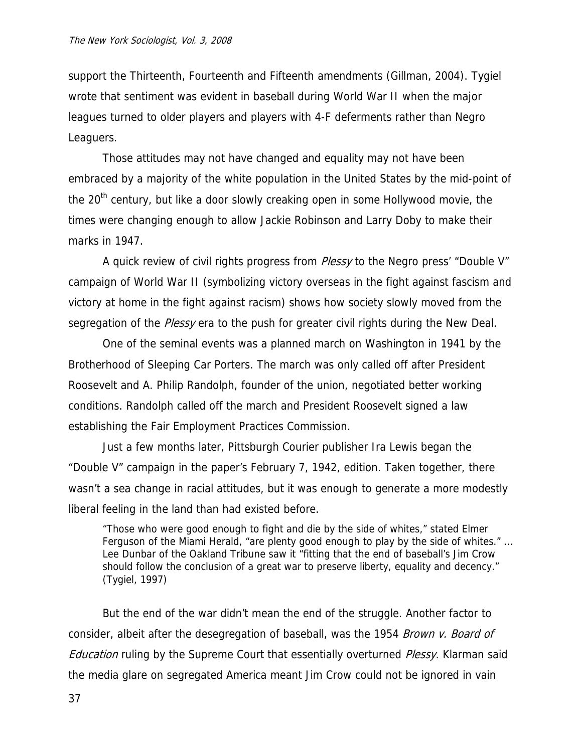support the Thirteenth, Fourteenth and Fifteenth amendments (Gillman, 2004). Tygiel wrote that sentiment was evident in baseball during World War II when the major leagues turned to older players and players with 4-F deferments rather than Negro Leaguers.

Those attitudes may not have changed and equality may not have been embraced by a majority of the white population in the United States by the mid-point of the 20<sup>th</sup> century, but like a door slowly creaking open in some Hollywood movie, the times were changing enough to allow Jackie Robinson and Larry Doby to make their marks in 1947.

A quick review of civil rights progress from *Plessy* to the Negro press' "Double V" campaign of World War II (symbolizing victory overseas in the fight against fascism and victory at home in the fight against racism) shows how society slowly moved from the segregation of the *Plessy* era to the push for greater civil rights during the New Deal.

One of the seminal events was a planned march on Washington in 1941 by the Brotherhood of Sleeping Car Porters. The march was only called off after President Roosevelt and A. Philip Randolph, founder of the union, negotiated better working conditions. Randolph called off the march and President Roosevelt signed a law establishing the Fair Employment Practices Commission.

Just a few months later, Pittsburgh Courier publisher Ira Lewis began the "Double V" campaign in the paper's February 7, 1942, edition. Taken together, there wasn't a sea change in racial attitudes, but it was enough to generate a more modestly liberal feeling in the land than had existed before.

"Those who were good enough to fight and die by the side of whites," stated Elmer Ferguson of the Miami Herald, "are plenty good enough to play by the side of whites." … Lee Dunbar of the Oakland Tribune saw it "fitting that the end of baseball's Jim Crow should follow the conclusion of a great war to preserve liberty, equality and decency." (Tygiel, 1997)

But the end of the war didn't mean the end of the struggle. Another factor to consider, albeit after the desegregation of baseball, was the 1954 Brown v. Board of Education ruling by the Supreme Court that essentially overturned Plessy. Klarman said the media glare on segregated America meant Jim Crow could not be ignored in vain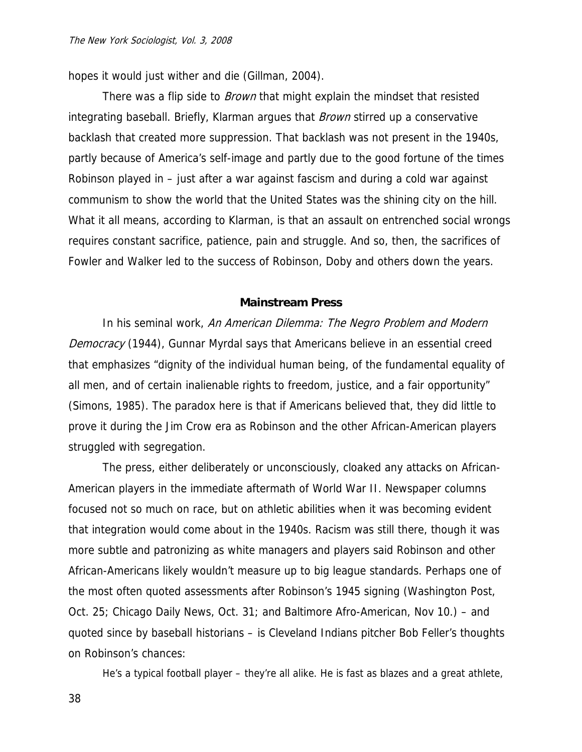hopes it would just wither and die (Gillman, 2004).

There was a flip side to *Brown* that might explain the mindset that resisted integrating baseball. Briefly, Klarman argues that *Brown* stirred up a conservative backlash that created more suppression. That backlash was not present in the 1940s, partly because of America's self-image and partly due to the good fortune of the times Robinson played in – just after a war against fascism and during a cold war against communism to show the world that the United States was the shining city on the hill. What it all means, according to Klarman, is that an assault on entrenched social wrongs requires constant sacrifice, patience, pain and struggle. And so, then, the sacrifices of Fowler and Walker led to the success of Robinson, Doby and others down the years.

#### **Mainstream Press**

In his seminal work, An American Dilemma: The Negro Problem and Modern Democracy (1944), Gunnar Myrdal says that Americans believe in an essential creed that emphasizes "dignity of the individual human being, of the fundamental equality of all men, and of certain inalienable rights to freedom, justice, and a fair opportunity" (Simons, 1985). The paradox here is that if Americans believed that, they did little to prove it during the Jim Crow era as Robinson and the other African-American players struggled with segregation.

 The press, either deliberately or unconsciously, cloaked any attacks on African-American players in the immediate aftermath of World War II. Newspaper columns focused not so much on race, but on athletic abilities when it was becoming evident that integration would come about in the 1940s. Racism was still there, though it was more subtle and patronizing as white managers and players said Robinson and other African-Americans likely wouldn't measure up to big league standards. Perhaps one of the most often quoted assessments after Robinson's 1945 signing (Washington Post, Oct. 25; Chicago Daily News, Oct. 31; and Baltimore Afro-American, Nov 10.) – and quoted since by baseball historians – is Cleveland Indians pitcher Bob Feller's thoughts on Robinson's chances:

He's a typical football player – they're all alike. He is fast as blazes and a great athlete,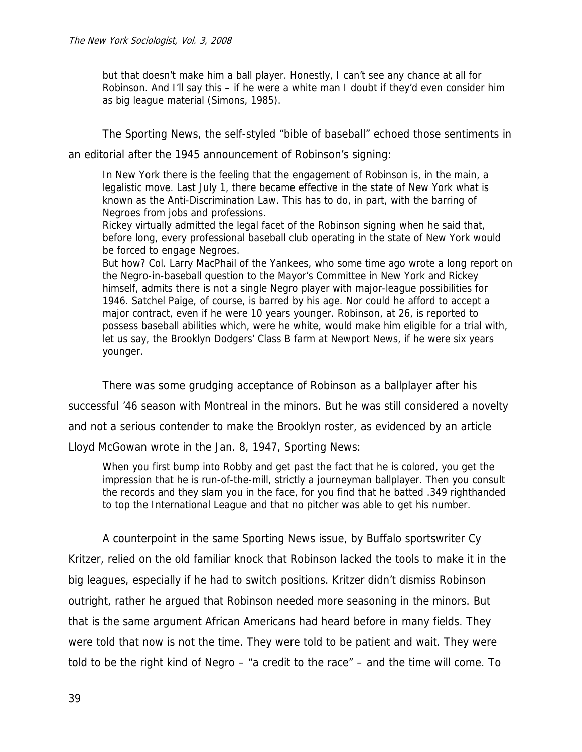but that doesn't make him a ball player. Honestly, I can't see any chance at all for Robinson. And I'll say this – if he were a white man I doubt if they'd even consider him as big league material (Simons, 1985).

The Sporting News, the self-styled "bible of baseball" echoed those sentiments in

an editorial after the 1945 announcement of Robinson's signing:

In New York there is the feeling that the engagement of Robinson is, in the main, a legalistic move. Last July 1, there became effective in the state of New York what is known as the Anti-Discrimination Law. This has to do, in part, with the barring of Negroes from jobs and professions.

Rickey virtually admitted the legal facet of the Robinson signing when he said that, before long, every professional baseball club operating in the state of New York would be forced to engage Negroes.

But how? Col. Larry MacPhail of the Yankees, who some time ago wrote a long report on the Negro-in-baseball question to the Mayor's Committee in New York and Rickey himself, admits there is not a single Negro player with major-league possibilities for 1946. Satchel Paige, of course, is barred by his age. Nor could he afford to accept a major contract, even if he were 10 years younger. Robinson, at 26, is reported to possess baseball abilities which, were he white, would make him eligible for a trial with, let us say, the Brooklyn Dodgers' Class B farm at Newport News, if he were six years younger.

There was some grudging acceptance of Robinson as a ballplayer after his successful '46 season with Montreal in the minors. But he was still considered a novelty and not a serious contender to make the Brooklyn roster, as evidenced by an article Lloyd McGowan wrote in the Jan. 8, 1947, Sporting News:

When you first bump into Robby and get past the fact that he is colored, you get the impression that he is run-of-the-mill, strictly a journeyman ballplayer. Then you consult the records and they slam you in the face, for you find that he batted .349 righthanded to top the International League and that no pitcher was able to get his number.

A counterpoint in the same Sporting News issue, by Buffalo sportswriter Cy

Kritzer, relied on the old familiar knock that Robinson lacked the tools to make it in the big leagues, especially if he had to switch positions. Kritzer didn't dismiss Robinson outright, rather he argued that Robinson needed more seasoning in the minors. But that is the same argument African Americans had heard before in many fields. They were told that now is not the time. They were told to be patient and wait. They were told to be the right kind of Negro – "a credit to the race" – and the time will come. To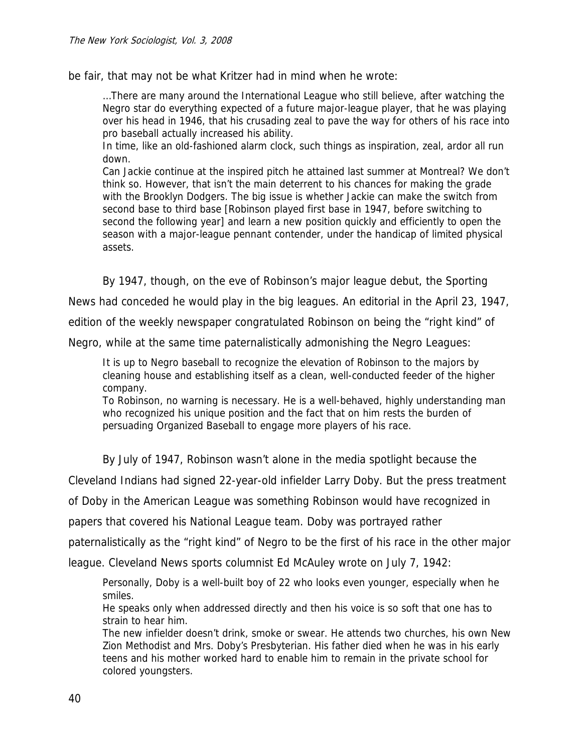be fair, that may not be what Kritzer had in mind when he wrote:

…There are many around the International League who still believe, after watching the Negro star do everything expected of a future major-league player, that he was playing over his head in 1946, that his crusading zeal to pave the way for others of his race into pro baseball actually increased his ability.

In time, like an old-fashioned alarm clock, such things as inspiration, zeal, ardor all run down.

Can Jackie continue at the inspired pitch he attained last summer at Montreal? We don't think so. However, that isn't the main deterrent to his chances for making the grade with the Brooklyn Dodgers. The big issue is whether Jackie can make the switch from second base to third base [Robinson played first base in 1947, before switching to second the following year] and learn a new position quickly and efficiently to open the season with a major-league pennant contender, under the handicap of limited physical assets.

By 1947, though, on the eve of Robinson's major league debut, the Sporting

News had conceded he would play in the big leagues. An editorial in the April 23, 1947,

edition of the weekly newspaper congratulated Robinson on being the "right kind" of

Negro, while at the same time paternalistically admonishing the Negro Leagues:

It is up to Negro baseball to recognize the elevation of Robinson to the majors by cleaning house and establishing itself as a clean, well-conducted feeder of the higher company.

To Robinson, no warning is necessary. He is a well-behaved, highly understanding man who recognized his unique position and the fact that on him rests the burden of persuading Organized Baseball to engage more players of his race.

By July of 1947, Robinson wasn't alone in the media spotlight because the

Cleveland Indians had signed 22-year-old infielder Larry Doby. But the press treatment

of Doby in the American League was something Robinson would have recognized in

papers that covered his National League team. Doby was portrayed rather

paternalistically as the "right kind" of Negro to be the first of his race in the other major

league. Cleveland News sports columnist Ed McAuley wrote on July 7, 1942:

Personally, Doby is a well-built boy of 22 who looks even younger, especially when he smiles.

He speaks only when addressed directly and then his voice is so soft that one has to strain to hear him.

The new infielder doesn't drink, smoke or swear. He attends two churches, his own New Zion Methodist and Mrs. Doby's Presbyterian. His father died when he was in his early teens and his mother worked hard to enable him to remain in the private school for colored youngsters.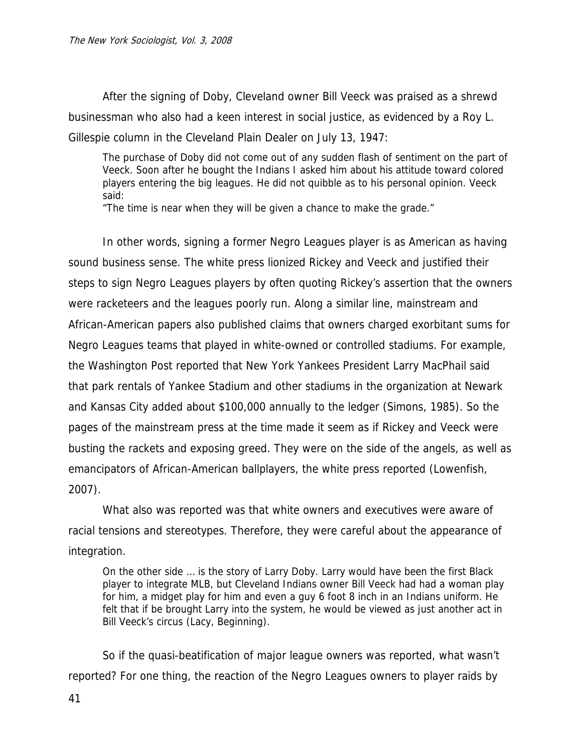After the signing of Doby, Cleveland owner Bill Veeck was praised as a shrewd businessman who also had a keen interest in social justice, as evidenced by a Roy L. Gillespie column in the Cleveland Plain Dealer on July 13, 1947:

The purchase of Doby did not come out of any sudden flash of sentiment on the part of Veeck. Soon after he bought the Indians I asked him about his attitude toward colored players entering the big leagues. He did not quibble as to his personal opinion. Veeck said:

"The time is near when they will be given a chance to make the grade."

In other words, signing a former Negro Leagues player is as American as having sound business sense. The white press lionized Rickey and Veeck and justified their steps to sign Negro Leagues players by often quoting Rickey's assertion that the owners were racketeers and the leagues poorly run. Along a similar line, mainstream and African-American papers also published claims that owners charged exorbitant sums for Negro Leagues teams that played in white-owned or controlled stadiums. For example, the Washington Post reported that New York Yankees President Larry MacPhail said that park rentals of Yankee Stadium and other stadiums in the organization at Newark and Kansas City added about \$100,000 annually to the ledger (Simons, 1985). So the pages of the mainstream press at the time made it seem as if Rickey and Veeck were busting the rackets and exposing greed. They were on the side of the angels, as well as emancipators of African-American ballplayers, the white press reported (Lowenfish, 2007).

 What also was reported was that white owners and executives were aware of racial tensions and stereotypes. Therefore, they were careful about the appearance of integration.

On the other side … is the story of Larry Doby. Larry would have been the first Black player to integrate MLB, but Cleveland Indians owner Bill Veeck had had a woman play for him, a midget play for him and even a guy 6 foot 8 inch in an Indians uniform. He felt that if be brought Larry into the system, he would be viewed as just another act in Bill Veeck's circus (Lacy, Beginning).

So if the quasi-beatification of major league owners was reported, what wasn't reported? For one thing, the reaction of the Negro Leagues owners to player raids by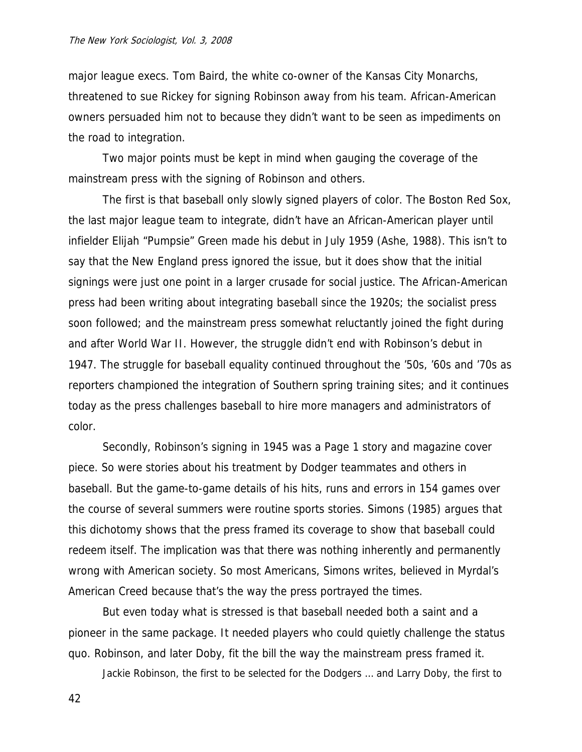major league execs. Tom Baird, the white co-owner of the Kansas City Monarchs, threatened to sue Rickey for signing Robinson away from his team. African-American owners persuaded him not to because they didn't want to be seen as impediments on the road to integration.

 Two major points must be kept in mind when gauging the coverage of the mainstream press with the signing of Robinson and others.

The first is that baseball only slowly signed players of color. The Boston Red Sox, the last major league team to integrate, didn't have an African-American player until infielder Elijah "Pumpsie" Green made his debut in July 1959 (Ashe, 1988). This isn't to say that the New England press ignored the issue, but it does show that the initial signings were just one point in a larger crusade for social justice. The African-American press had been writing about integrating baseball since the 1920s; the socialist press soon followed; and the mainstream press somewhat reluctantly joined the fight during and after World War II. However, the struggle didn't end with Robinson's debut in 1947. The struggle for baseball equality continued throughout the '50s, '60s and '70s as reporters championed the integration of Southern spring training sites; and it continues today as the press challenges baseball to hire more managers and administrators of color.

 Secondly, Robinson's signing in 1945 was a Page 1 story and magazine cover piece. So were stories about his treatment by Dodger teammates and others in baseball. But the game-to-game details of his hits, runs and errors in 154 games over the course of several summers were routine sports stories. Simons (1985) argues that this dichotomy shows that the press framed its coverage to show that baseball could redeem itself. The implication was that there was nothing inherently and permanently wrong with American society. So most Americans, Simons writes, believed in Myrdal's American Creed because that's the way the press portrayed the times.

 But even today what is stressed is that baseball needed both a saint and a pioneer in the same package. It needed players who could quietly challenge the status quo. Robinson, and later Doby, fit the bill the way the mainstream press framed it.

Jackie Robinson, the first to be selected for the Dodgers … and Larry Doby, the first to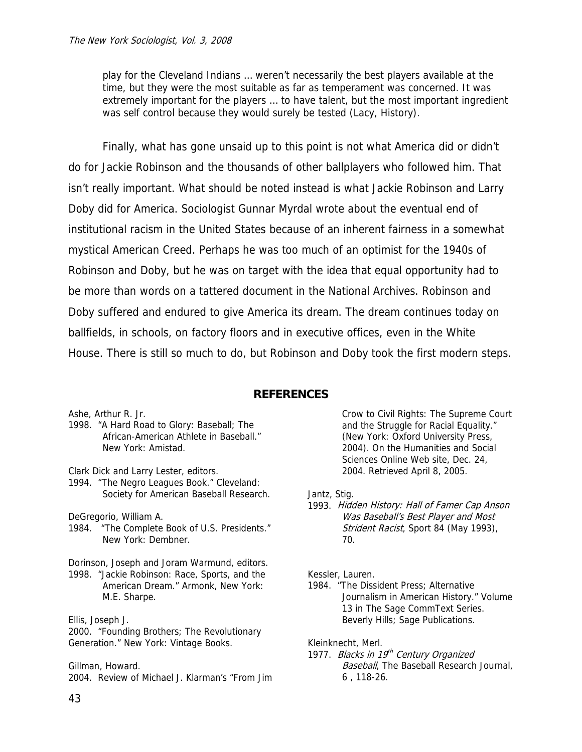play for the Cleveland Indians … weren't necessarily the best players available at the time, but they were the most suitable as far as temperament was concerned. It was extremely important for the players … to have talent, but the most important ingredient was self control because they would surely be tested (Lacy, History).

 Finally, what has gone unsaid up to this point is not what America did or didn't do for Jackie Robinson and the thousands of other ballplayers who followed him. That isn't really important. What should be noted instead is what Jackie Robinson and Larry Doby did for America. Sociologist Gunnar Myrdal wrote about the eventual end of institutional racism in the United States because of an inherent fairness in a somewhat mystical American Creed. Perhaps he was too much of an optimist for the 1940s of Robinson and Doby, but he was on target with the idea that equal opportunity had to be more than words on a tattered document in the National Archives. Robinson and Doby suffered and endured to give America its dream. The dream continues today on ballfields, in schools, on factory floors and in executive offices, even in the White House. There is still so much to do, but Robinson and Doby took the first modern steps.

# **REFERENCES**

Ashe, Arthur R. Jr.

1998. "A Hard Road to Glory: Baseball; The African-American Athlete in Baseball." New York: Amistad.

Clark Dick and Larry Lester, editors.

1994. "The Negro Leagues Book." Cleveland: Society for American Baseball Research.

DeGregorio, William A.

- 1984. "The Complete Book of U.S. Presidents." New York: Dembner.
- Dorinson, Joseph and Joram Warmund, editors. 1998. "Jackie Robinson: Race, Sports, and the American Dream." Armonk, New York: M.E. Sharpe.

Ellis, Joseph J. 2000. "Founding Brothers; The Revolutionary Generation." New York: Vintage Books.

Gillman, Howard. 2004. Review of Michael J. Klarman's "From Jim Crow to Civil Rights: The Supreme Court and the Struggle for Racial Equality." (New York: Oxford University Press, 2004). On the Humanities and Social Sciences Online Web site, Dec. 24, 2004. Retrieved April 8, 2005.

- Jantz, Stig.
- 1993. Hidden History: Hall of Famer Cap Anson Was Baseball's Best Player and Most Strident Racist, Sport 84 (May 1993), 70.

Kessler, Lauren.

1984. "The Dissident Press; Alternative Journalism in American History." Volume 13 in The Sage CommText Series. Beverly Hills; Sage Publications.

Kleinknecht, Merl.

1977. Blacks in 19<sup>th</sup> Century Organized **Baseball, The Baseball Research Journal,** 6 , 118-26.